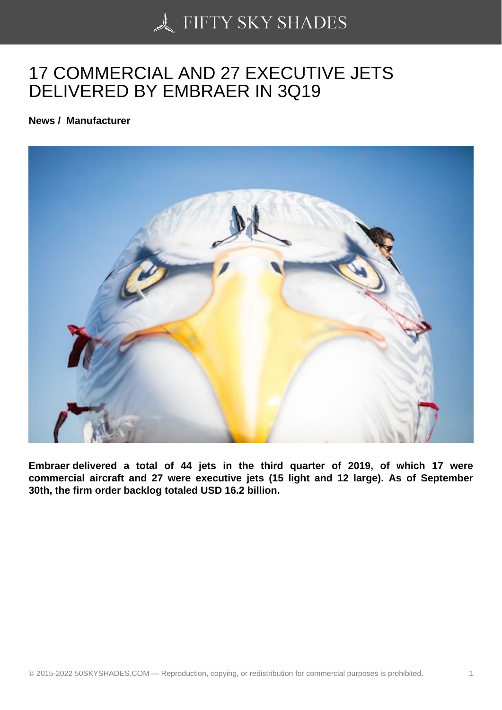## [17 COMMERCIAL AND](https://50skyshades.com) 27 EXECUTIVE JETS DELIVERED BY EMBRAER IN 3Q19

News / Manufacturer

Embraer delivered a total of 44 jets in the third quarter of 2019, of which 17 were commercial aircraft and 27 were executive jets (15 light and 12 large). As of September 30th, the firm order backlog totaled USD 16.2 billion.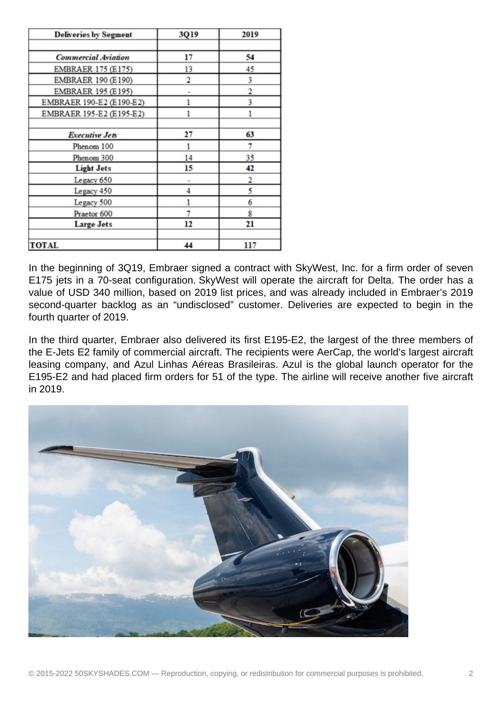| <b>Deliveries by Segment</b> | 3Q19 | 2019 |
|------------------------------|------|------|
|                              |      |      |
| <b>Commercial Aviation</b>   | 17   | 54   |
| EMBRAER 175 (E175)           | 13   | 45   |
| EMBRAER 190 (E190)           | 2    | 3    |
| EMBRAER 195 (E195)           |      | 2    |
| EMBRAER 190-E2 (E190-E2)     |      | 3    |
| EMBRAER 195-E2 (E195-E2)     | 1    | 1    |
|                              |      |      |
| <b>Executive Jets</b>        | 27   | 63   |
| Phenom 100                   |      | 7    |
| Phenom 300                   | 14   | 35   |
| <b>Light Jets</b>            | 15   | 42   |
| Legacy 650                   |      | 2    |
| Legacy 450                   | 4    | 5    |
| Legacy 500                   |      | 6    |
| Praetor 600                  |      | 8    |
| <b>Large Jets</b>            | 12   | 21   |
|                              |      |      |
| <b>TOTAL</b>                 | 44   | 117  |

In the beginning of 3Q19, Embraer signed a contract with SkyWest, Inc. for a firm order of seven E175 jets in a 70-seat configuration. SkyWest will operate the aircraft for Delta. The order has a value of USD 340 million, based on 2019 list prices, and was already included in Embraer's 2019 second-quarter backlog as an "undisclosed" customer. Deliveries are expected to begin in the fourth quarter of 2019.

In the third quarter, Embraer also delivered its first E195-E2, the largest of the three members of the E-Jets E2 family of commercial aircraft. The recipients were AerCap, the world's largest aircraft leasing company, and Azul Linhas Aéreas Brasileiras. Azul is the global launch operator for the E195-E2 and had placed firm orders for 51 of the type. The airline will receive another five aircraft in 2019.

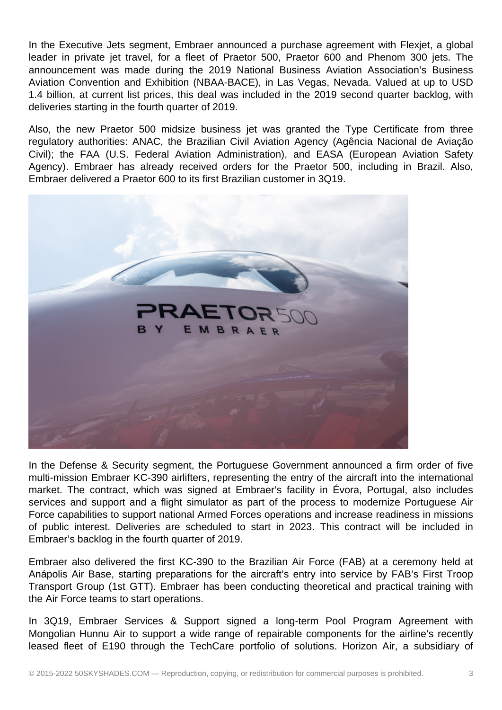In the Executive Jets segment, Embraer announced a purchase agreement with Flexjet, a global leader in private jet travel, for a fleet of Praetor 500, Praetor 600 and Phenom 300 jets. The announcement was made during the 2019 National Business Aviation Association's Business Aviation Convention and Exhibition (NBAA-BACE), in Las Vegas, Nevada. Valued at up to USD 1.4 billion, at current list prices, this deal was included in the 2019 second quarter backlog, with deliveries starting in the fourth quarter of 2019.

Also, the new Praetor 500 midsize business jet was granted the Type Certificate from three regulatory authorities: ANAC, the Brazilian Civil Aviation Agency (Agência Nacional de Aviação Civil); the FAA (U.S. Federal Aviation Administration), and EASA (European Aviation Safety Agency). Embraer has already received orders for the Praetor 500, including in Brazil. Also, Embraer delivered a Praetor 600 to its first Brazilian customer in 3Q19.



In the Defense & Security segment, the Portuguese Government announced a firm order of five multi-mission Embraer KC-390 airlifters, representing the entry of the aircraft into the international market. The contract, which was signed at Embraer's facility in Évora, Portugal, also includes services and support and a flight simulator as part of the process to modernize Portuguese Air Force capabilities to support national Armed Forces operations and increase readiness in missions of public interest. Deliveries are scheduled to start in 2023. This contract will be included in Embraer's backlog in the fourth quarter of 2019.

Embraer also delivered the first KC-390 to the Brazilian Air Force (FAB) at a ceremony held at Anápolis Air Base, starting preparations for the aircraft's entry into service by FAB's First Troop Transport Group (1st GTT). Embraer has been conducting theoretical and practical training with the Air Force teams to start operations.

In 3Q19, Embraer Services & Support signed a long-term Pool Program Agreement with Mongolian Hunnu Air to support a wide range of repairable components for the airline's recently leased fleet of E190 through the TechCare portfolio of solutions. Horizon Air, a subsidiary of